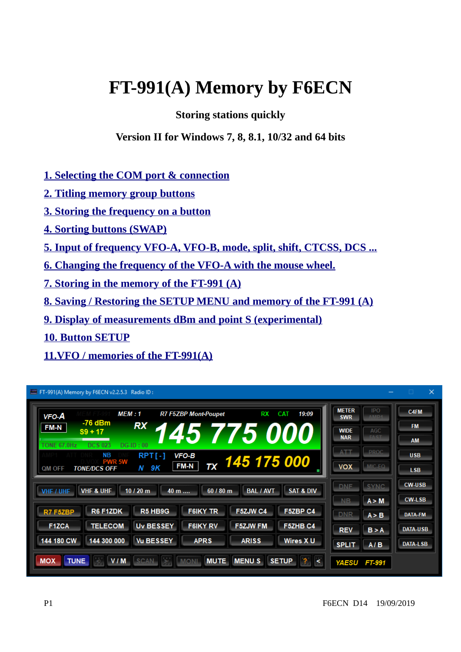# **FT-991(A) Memory by F6ECN**

# **Storing stations quickly**

## **Version II for Windows 7, 8, 8.1, 10/32 and 64 bits**

- **[1. Selecting the COM port & connection](#page-2-1)**
- **[2. Titling memory group buttons](#page-2-0)**
- **[3. Storing the frequency on a button](#page-3-1)**
- **[4. Sorting buttons \(SWAP\)](#page-3-0)**
- **[5. Input of frequency VFO-A, VFO-B, mode, split, shift, CTCSS, DCS ...](#page-5-1)**
- **[6 . Changing the frequency of the VFO-A with the mouse wheel.](#page-5-0)**
- **[7.Storing in the memory of the FT-991 \(A\)](#page-6-1)**
- **[8 . Saving / Restoring the SETUP MENU and memory of the FT-991 \(A\)](#page-6-0)**
- **[9. Display of measurements dBm and point S \(experimental\)](#page-7-2)**
- **10. Button SETUP**
- **[11.VFO / memories of the FT-991\(A\)](#page-7-0)**

| <b>VFO-A</b>       | <b>MEM : 1</b>       |                  | <b>R7 F5ZBP Mont-Poupet</b> | RX                         | 19:09<br><b>CAT</b>  | <b>METER</b><br><b>SWR</b> | <b>IPO</b><br><b>AMD4</b> | C4FM            |
|--------------------|----------------------|------------------|-----------------------------|----------------------------|----------------------|----------------------------|---------------------------|-----------------|
| <b>FM-N</b>        | -76 dBm<br>$S9 + 17$ | <b>RX</b>        |                             |                            |                      | <b>WIDE</b>                | AGC                       | <b>FM</b>       |
| <b>TONE 67.0Hz</b> | <b>DCS 023</b>       | $DG-ID:00$       |                             | <i><b>145 775 000</b></i>  |                      | <b>NAR</b>                 | <b>EAST</b>               | <b>AM</b>       |
|                    | NВ<br><b>PWR 5W</b>  | <b>RPT[-]</b>    | VFO-B                       | $\frac{1}{11}$ 145 175 000 |                      | ATT                        | <b>PROC</b>               | <b>USB</b>      |
| QM OFF             |                      |                  | FM-N                        |                            |                      | <b>VOX</b>                 | MIC-EO                    |                 |
|                    | <b>TONE/DCS OFF</b>  | N 9K             |                             |                            |                      |                            |                           | LSB.            |
|                    |                      |                  |                             |                            |                      | <b>DNE</b>                 | <b>SYNC</b>               | <b>CW-USB</b>   |
| VHF / UHF          | <b>VHF &amp; UHF</b> | 10/20 m<br>40 m  | 60 / 80 m                   | <b>BAL / AVT</b>           | <b>SAT &amp; DIV</b> | NB.                        | A > M                     | <b>CW-LSB</b>   |
| R7 F5ZBP           | R6 F1ZDK             | R5 HB9G          | <b>F6IKY TR</b>             | F5ZJW C4                   | F5ZBP C4             | <b>DNR</b>                 | A > B                     | <b>DATA-FM</b>  |
| <b>F1ZCA</b>       | <b>TELECOM</b>       | <b>Uv BESSEY</b> | <b>F6IKY RV</b>             | <b>F5ZJW FM</b>            | <b>F5ZHB C4</b>      | <b>REV</b>                 | B > A                     | <b>DATA-USB</b> |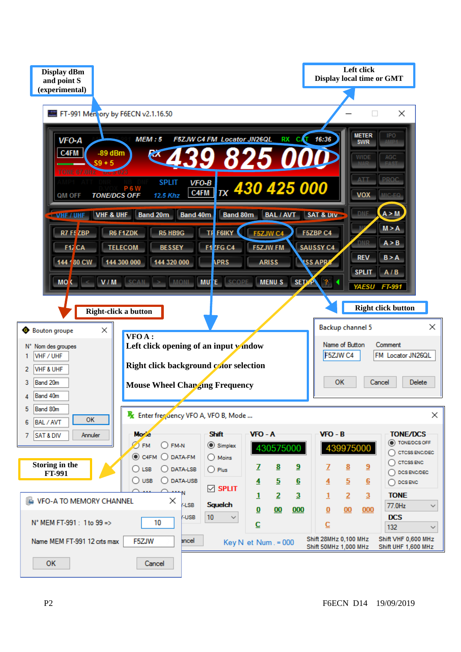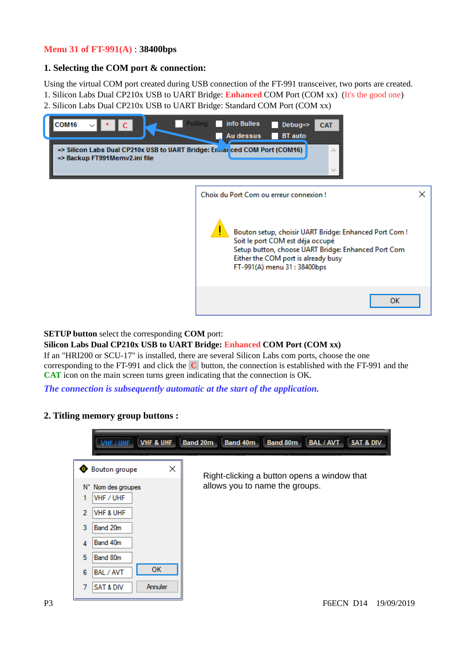#### **Menu 31 of FT-991(A)** : **38400bps**

#### <span id="page-2-1"></span>**1. Selecting the COM port & connection:**

Using the virtual COM port created during USB connection of the FT-991 transceiver, two ports are created.

- 1. Silicon Labs Dual CP210x USB to UART Bridge: **Enhanced** COM Port (COM xx) (It's the good one)
- 2. Silicon Labs Dual CP210x USB to UART Bridge: Standard COM Port (COM xx)



| Choix du Port Com ou erreur connexion!                                                                                                                                                                                  |  |
|-------------------------------------------------------------------------------------------------------------------------------------------------------------------------------------------------------------------------|--|
| Bouton setup, choisir UART Bridge: Enhanced Port Com !<br>Soit le port COM est déja occupé<br>Setup button, choose UART Bridge: Enhanced Port Com<br>Either the COM port is already busy<br>FT-991(A) menu 31: 38400bps |  |
|                                                                                                                                                                                                                         |  |

**SETUP button** select the corresponding **COM** port:

#### **Silicon Labs Dual CP210x USB to UART Bridge: Enhanced COM Port (COM xx)**

If an "HRI200 or SCU-17" is installed, there are several Silicon Labs com ports, choose the one corresponding to the FT-991 and click the **C** button, the connection is established with the FT-991 and the **CAT** icon on the main screen turns green indicating that the connection is OK.

*The connection is subsequently automatic at the start of the application.*

<span id="page-2-0"></span>**2. Titling memory group buttons :**

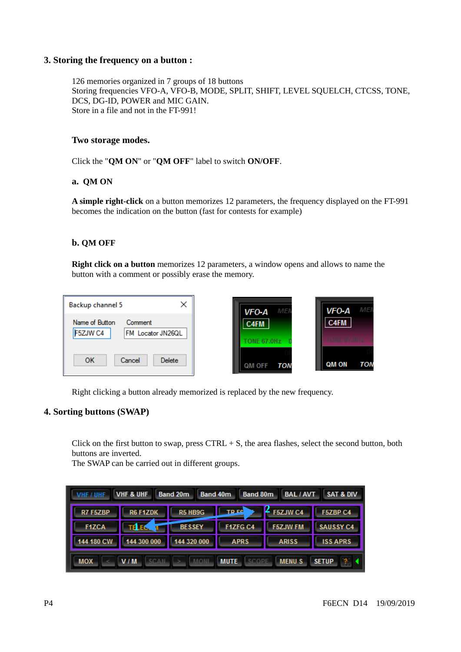#### <span id="page-3-1"></span>**3. Storing the frequency on a button :**

126 memories organized in 7 groups of 18 buttons Storing frequencies VFO-A, VFO-B, MODE, SPLIT, SHIFT, LEVEL SOUELCH, CTCSS, TONE, DCS, DG-ID, POWER and MIC GAIN. Store in a file and not in the FT-991!

#### **Two storage modes.**

Click the "**QM ON**" or "**QM OFF**" label to switch **ON/OFF**.

#### **a. QM ON**

**A simple right-click** on a button memorizes 12 parameters, the frequency displayed on the FT-991 becomes the indication on the button (fast for contests for example)

#### **b. QM OFF**

**Right click on a button** memorizes 12 parameters, a window opens and allows to name the button with a comment or possibly erase the memory.

| ×<br>Backup channel 5                 | VFO-A<br>MEI         | VFO-A<br>MEI  |
|---------------------------------------|----------------------|---------------|
| Name of Button<br>Comment<br>F5ZJW C4 | C4FM                 | C4FM          |
| FM Locator JN26QL                     | TONE 67.0Hz D        | 医单核菌素 医双手的过去式 |
| ок<br>Delete<br>Cancel                | QM OFF<br><b>TON</b> | QM ON<br>TON  |

Right clicking a button already memorized is replaced by the new frequency.

#### <span id="page-3-0"></span>**4. Sorting buttons (SWAP)**

Click on the first button to swap, press  $CTRL + S$ , the area flashes, select the second button, both buttons are inverted.

The SWAP can be carried out in different groups.

| VHF / UHF                                                                                              | <b>VHF &amp; UHF</b> | <b>Band 20m</b><br><b>Band 40m</b> | <b>Band 80m</b> | <b>BAL / AVT</b> | <b>SAT &amp; DIV</b> |
|--------------------------------------------------------------------------------------------------------|----------------------|------------------------------------|-----------------|------------------|----------------------|
| R7 F5ZBP                                                                                               | R6 F1ZDK             | R5 HB9G                            | <b>TREE</b>     | $2$ F5ZJW C4     | F5ZBP C4             |
| <b>F1ZCA</b>                                                                                           | <b>TELEC</b>         | <b>BESSEY</b>                      | F1ZFG C4        | <b>F5ZJW FM</b>  | <b>SAUSSY C4</b>     |
| 144 180 CW                                                                                             | 144 300 000          | 144 320 000                        | <b>APRS</b>     | <b>ARISS</b>     | <b>ISS APRS</b>      |
| <b>MENUS</b><br><b>SETUP</b><br><b>MUTE</b><br>V/M<br><b>SCOPE</b><br><b>MOX</b><br><b>SCAN</b><br>MOM |                      |                                    |                 |                  |                      |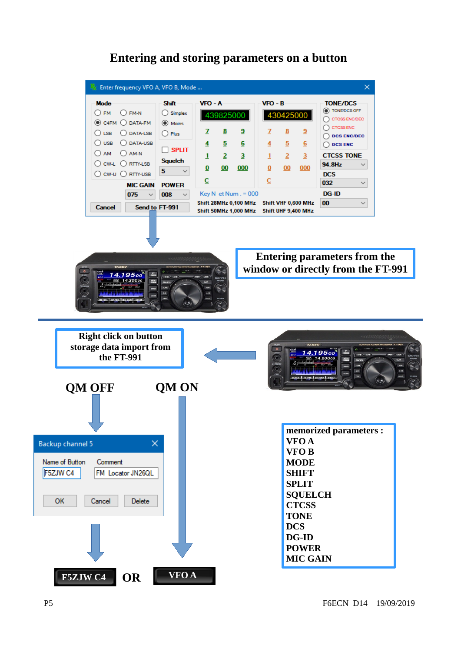#### Enter frequency VFO A, VFO B, Mode ...  $\times$  $VFO - A$ Shift  $VFO - B$ **TONE/DCS Mode** ◯ TONE/DCS OFF  $O F M$   $O F M-N$  $\bigcirc$  Simplex 439825000 430425000 ◯ CTCSS ENCIDEC  $@$  C4FM  $@$  DATA-FM  $\odot$  Moins  $\bigcirc$  ctcss enc  $\bigcirc$  LSB  $\bigcirc$  DATA-LSB  $\mathbf{Z}$  $\underline{\underline{8}}$  $\overline{\mathbf{3}}$  $\overline{1}$  $\underline{\underline{8}}$  $\underline{9}$  $\bigcirc$  Plus  $\bigcirc$  DCS ENC/DEC  $\bigcirc$  usb  $\bigcirc$  data-usb  $\overline{5}$  $\overline{5}$  $\overline{\mathbf{4}}$  $6$  $\overline{4}$  $6$  $\bigcirc$  DCS ENC  $\Box$  SPLIT  $OM$   $OM-N$  $\overline{2}$  $\underline{\mathbf{2}}$  $\overline{3}$ **CTCSS TONE**  $\mathbf{1}$  $\overline{\mathbf{3}}$  $\mathbf 1$ Squelch  $\bigcirc$  CW-L  $\bigcirc$  RTTY-LSB 94.8Hz  $\checkmark$  $\underline{\mathbf{0}}$  $00$ 000  $\bf{0}$  $00$ 000  $5<sub>5</sub>$  $\check{~}$  $\bigcirc$  cw-u  $\bigcirc$  rity-usb **DCS**  $\overline{c}$  $\overline{C}$ 032  $\checkmark$ **MIC GAIN POWER DG-ID** 075  $\sim$ Key N et Num.  $= 000$ 008  $\checkmark$ Shift 28MHz 0.100 MHz Shift VHF 0.600 MHz 00  $\backsim$ Send to FT-991 Cancel Shift 50MHz 1,000 MHz Shift UHF 9,400 MHz





**Entering parameters from the window or directly from the FT-991**

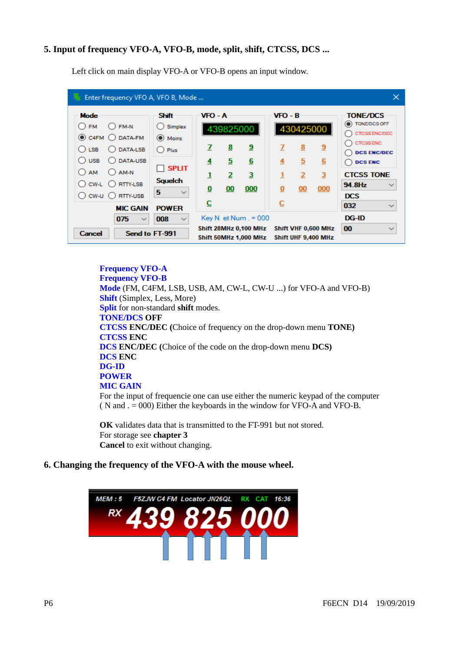### <span id="page-5-1"></span>**5. Input of frequency VFO-A, VFO-B, mode, split, shift, CTCSS, DCS ...**

| Enter frequency VFO A, VFO B, Mode                                                                                                                            |                                                                                              |                        |                          |                                                                                   |                                       |                                       |                                                   | $\times$                                                                                                                            |
|---------------------------------------------------------------------------------------------------------------------------------------------------------------|----------------------------------------------------------------------------------------------|------------------------|--------------------------|-----------------------------------------------------------------------------------|---------------------------------------|---------------------------------------|---------------------------------------------------|-------------------------------------------------------------------------------------------------------------------------------------|
| <b>Mode</b><br>$O$ FM-N<br><b>FM</b><br>( )<br>$\odot$ C4FM $\odot$ DATA-FM<br>○ DATA-LSB<br>( ) LSB<br>O DATA-USB<br><b>USB</b><br>0<br>$OAM-N$<br><b>AM</b> | <b>Shift</b><br>$\bigcirc$ Simplex<br>(C) Moins<br>$\bigcap$ Plus<br>$\Box$ split            | VFO - A<br>7<br>4<br>1 | 439825000<br>8<br>5<br>2 | <u>9</u><br>$6\overline{6}$<br>$\overline{\mathbf{3}}$                            | $VFO - B$<br>z<br>$\overline{4}$<br>1 | 430425000<br>8<br>5<br>$\overline{2}$ | $\overline{a}$<br>6<br>$\overline{3}$             | <b>TONE/DCS</b><br>C TONE/DCS OFF<br>CTCSS ENCIDED<br><b>CTCSS ENC</b><br><b>DCS ENC/DEC</b><br><b>DCS ENC</b><br><b>CTCSS TONE</b> |
| $\bigcap$ RTTY-LSB<br>$\bigcirc$ cw-L<br>$\bigcirc$ CW-U $\bigcirc$ RTTY-USB<br><b>MIC GAIN</b><br>075<br>Cancel                                              | <b>Squelch</b><br>5<br>$\checkmark$<br><b>POWER</b><br>008<br>$\checkmark$<br>Send to FT-991 | 0<br>c                 | 00                       | 000<br>$Key N$ et Num $. = 000$<br>Shift 28MHz 0,100 MHz<br>Shift 50MHz 1,000 MHz | 0<br>⊆                                | 00                                    | 000<br>Shift VHF 0,600 MHz<br>Shift UHF 9,400 MHz | 94.8Hz<br>$\checkmark$<br><b>DCS</b><br>032<br>$\checkmark$<br><b>DG-ID</b><br>00<br>$\checkmark$                                   |

Left click on main display VFO-A or VFO-B opens an input window.

#### **Frequency VFO-A Frequency VFO-B Mode** (FM, C4FM, LSB, USB, AM, CW-L, CW-U ...) for VFO-A and VFO-B) **Shift** (Simplex, Less, More) **Split** for non-standard **shift** modes. **TONE/DCS OFF CTCSS ENC/DEC (**Choice of frequency on the drop-down menu **TONE) CTCSS ENC DCS ENC/DEC (**Choice of the code on the drop-down menu **DCS) DCS ENC DG-ID POWER MIC GAIN** For the input of frequencie one can use either the numeric keypad of the computer ( N and . = 000) Either the keyboards in the window for VFO-A and VFO-B.

**OK** validates data that is transmitted to the FT-991 but not stored. For storage see **chapter 3 Cancel** to exit without changing.

#### <span id="page-5-0"></span>**6. Changing the frequency of the VFO-A with the mouse wheel.**

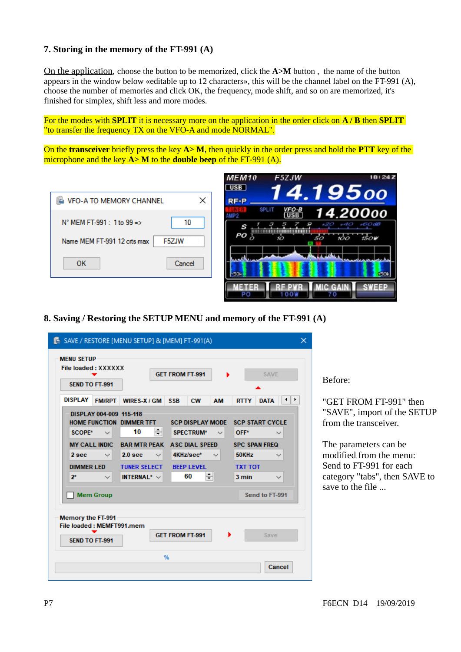#### <span id="page-6-1"></span>**7. Storing in the memory of the FT-991 (A)**

On the application, choose the button to be memorized, click the **A>M** button , the name of the button appears in the window below «editable up to 12 characters», this will be the channel label on the FT-991 (A), choose the number of memories and click OK, the frequency, mode shift, and so on are memorized, it's finished for simplex, shift less and more modes.

For the modes with **SPLIT** it is necessary more on the application in the order click on **A / B** then **SPLIT** "to transfer the frequency TX on the VFO-A and mode NORMAL".

On the **transceiver** briefly press the key **A> M**, then quickly in the order press and hold the **PTT** key of the microphone and the key **A> M** to the **double beep** of the FT-991 (A).





<span id="page-6-0"></span>**8. Saving / Restoring the SETUP MENU and memory of the FT-991 (A)**

|                   | <b>SEND TO FT-991</b>     |                                    |                        |                         |             |                        |              |
|-------------------|---------------------------|------------------------------------|------------------------|-------------------------|-------------|------------------------|--------------|
| <b>DISPLAY</b>    | <b>FM/RPT</b>             | WIRES-X / GM                       | <b>SSB</b>             | <b>CW</b><br><b>AM</b>  | <b>RTTY</b> | <b>DATA</b>            | ⊣∣⊧          |
|                   | DISPLAY 004-009 115-118   |                                    |                        |                         |             |                        |              |
|                   |                           | HOME FUNCTION DIMMER TFT           |                        | <b>SCP DISPLAY MODE</b> |             | <b>SCP START CYCLE</b> |              |
| <b>SCOPE*</b>     | $\checkmark$              | ≑<br>10                            | <b>SPECTRUM*</b>       |                         | OFF*        |                        | $\checkmark$ |
|                   | <b>MY CALL INDIC</b>      | <b>BAR MTR PEAK</b>                |                        | <b>ASC DIAL SPEED</b>   |             | <b>SPC SPAN FREQ</b>   |              |
| 2 sec             | $\checkmark$              | 2.0 <sub>sec</sub><br>$\checkmark$ | 4KHz/sec*              |                         | 50KHz       |                        |              |
| <b>DIMMER LED</b> |                           | <b>TUNER SELECT</b>                | <b>BEEP LEVEL</b>      |                         |             | <b>TXT TOT</b>         |              |
| $2*$              |                           | INTERNAL* $\vee$                   | 60                     | ≑∣                      | 3 min       |                        | $\checkmark$ |
|                   |                           |                                    |                        |                         |             |                        |              |
|                   | <b>Mem Group</b>          |                                    |                        |                         |             | Send to FT-991         |              |
|                   |                           |                                    |                        |                         |             |                        |              |
| Memory the FT-991 |                           |                                    |                        |                         |             |                        |              |
|                   | File loaded: MEMFT991.mem |                                    |                        |                         |             |                        |              |
|                   |                           |                                    | <b>GET FROM FT-991</b> |                         |             | Save                   |              |
|                   |                           |                                    |                        |                         |             |                        |              |

Before:

"GET FROM FT-991" then "SAVE", import of the SETUP from the transceiver.

The parameters can be modified from the menu: Send to FT-991 for each category "tabs", then SAVE to save to the file ...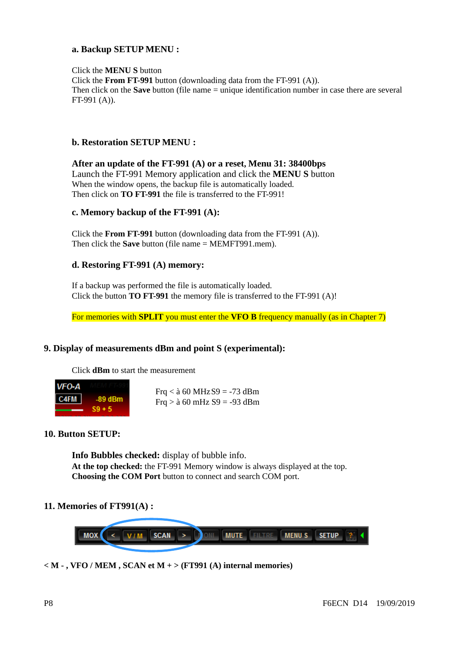#### **a. Backup SETUP MENU :**

Click the **MENU S** button Click the **From FT-991** button (downloading data from the FT-991 (A)). Then click on the **Save** button (file name = unique identification number in case there are several FT-991 (A)).

#### **b. Restoration SETUP MENU :**

**After an update of the FT-991 (A) or a reset, Menu 31: 38400bps** Launch the FT-991 Memory application and click the **MENU S** button When the window opens, the backup file is automatically loaded. Then click on **TO FT-991** the file is transferred to the FT-991!

#### **c. Memory backup of the FT-991 (A):**

Click the **From FT-991** button (downloading data from the FT-991 (A)). Then click the **Save** button (file name = MEMFT991.mem).

#### **d. Restoring FT-991 (A) memory:**

If a backup was performed the file is automatically loaded. Click the button **TO FT-991** the memory file is transferred to the FT-991 (A)!

For memories with **SPLIT** you must enter the **VFO B** frequency manually (as in Chapter 7)

### **9. Display of measurements dBm and point S (experimental):**

Click **dBm** to start the measurement



<span id="page-7-2"></span>Frq  $<$  à 60 MHz S9 = -73 dBm Frq  $>$  à 60 mHz S9 = -93 dBm

#### <span id="page-7-1"></span>**10. Button SETUP:**

**Info Bubbles checked:** display of bubble info. **At the top checked:** the FT-991 Memory window is always displayed at the top. **Choosing the COM Port** button to connect and search COM port.

#### <span id="page-7-0"></span>**11. Memories of FT991(A) :**



**< M - , VFO / MEM , SCAN et M + > (FT991 (A) internal memories)**